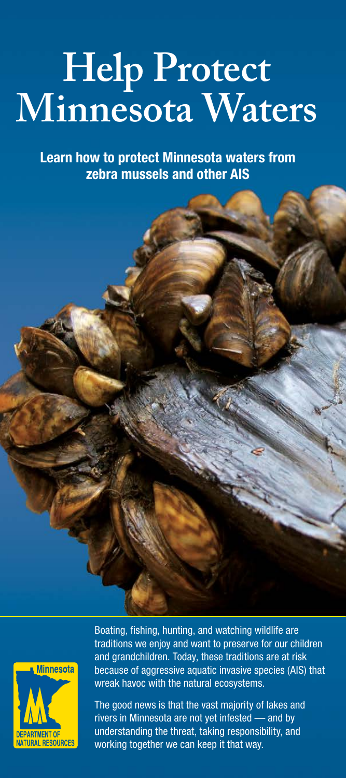## **Help Protect Minnesota Waters**

**Learn how to protect Minnesota waters from zebra mussels and other AIS**



Boating, fishing, hunting, and watching wildlife are traditions we enjoy and want to preserve for our children and grandchildren. Today, these traditions are at risk because of aggressive aquatic invasive species (AIS) that wreak havoc with the natural ecosystems.

The good news is that the vast majority of lakes and rivers in Minnesota are not yet infested — and by understanding the threat, taking responsibility, and working together we can keep it that way.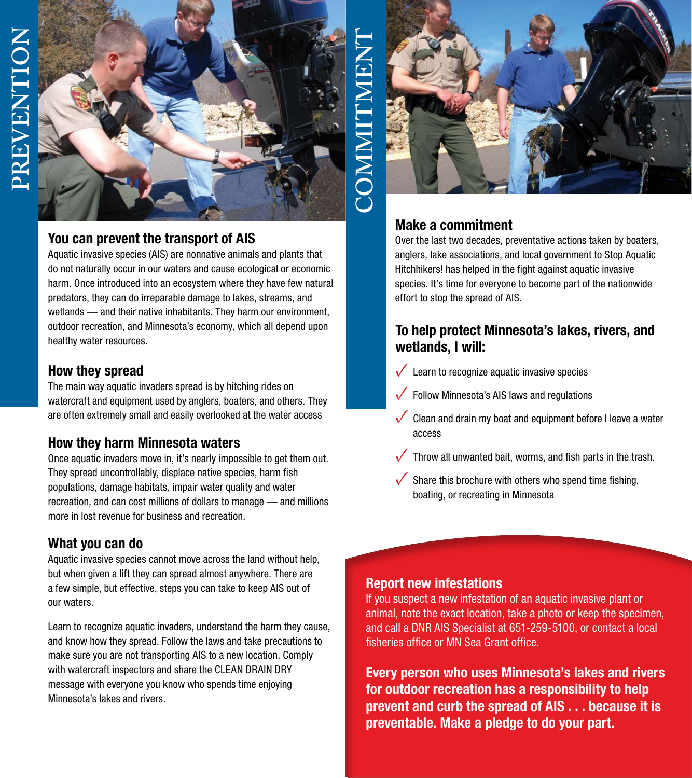

#### **You can prevent the transport of AIS**

Aquatic invasive species (AIS) are nonnative animals and plants that do not naturally occur in our waters and cause ecological or economic harm. Once introduced into an ecosystem where they have few natural predators, they can do irreparable damage to lakes, streams, and wetlands — and their native inhabitants. They harm our environment, outdoor recreation, and Minnesota's economy, which all depend upon healthy water resources.

#### **How they spread**

The main way aquatic invaders spread is by hitching rides on watercraft and equipment used by anglers, boaters, and others. They are often extremely small and easily overlooked at the water access

#### **How they harm Minnesota waters**

Once aquatic invaders move in, it's nearly impossible to get them out. They spread uncontrollably, displace native species, harm fish populations, damage habitats, impair water quality and water recreation, and can cost millions of dollars to manage — and millions more in lost revenue for business and recreation.

#### **What you can do**

Aquatic invasive species cannot move across the land without help, but when given a lift they can spread almost anywhere. There are a few simple, but effective, steps you can take to keep AIS out of our waters.

Learn to recognize aquatic invaders, understand the harm they cause, and know how they spread. Follow the laws and take precautions to make sure you are not transporting AIS to a new location. Comply with watercraft inspectors and share the CLEAN DRAIN DRY message with everyone you know who spends time enjoying Minnesota's lakes and rivers.



#### Make a commitment

Over the last two decades, preventative actions taken by boaters, anglers, lake associations, and local government to Stop Aquatic Hitchhikers! has helped in the fight against aquatic invasive species. It's time for everyone to become part of the nationwide effort to stop the spread of AIS.

#### To help protect Minnesota's lakes, rivers, and wetlands, I will:

- Learn to recognize aquatic invasive species
- Follow Minnesota's AIS laws and regulations
- Clean and drain my boat and equipment before I leave a water access
- Throw all unwanted bait, worms, and fish parts in the trash.
- Share this brochure with others who spend time fishing, boating, or recreating in Minnesota

#### Report new infestations

If you suspect a new infestation of an aquatic invasive plant or animal, note the exact location, take a photo or keep the specimen, and call a DNR AIS Specialist at 651-259-5100, or contact a local fisheries office or MN Sea Grant office.

Every person who uses Minnesota's lakes and rivers for outdoor recreation has a responsibility to help prevent and curb the spread of AIS . . . because it is preventable. Make a pledge to do your part.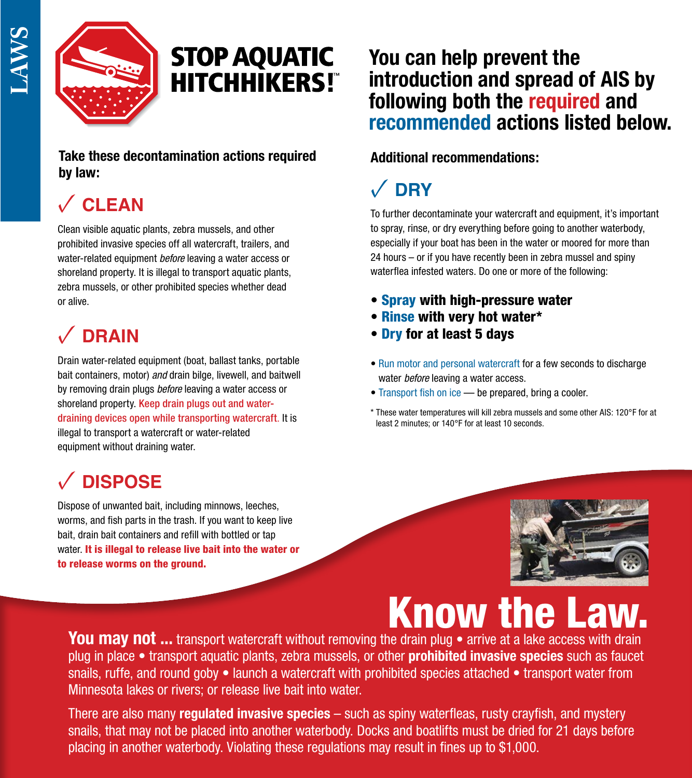

## **STOP AQUATIC HITCHHIKERS!"**

#### **Take these decontamination actions required by law:**

## **✓ CLEAN**

Clean visible aquatic plants, zebra mussels, and other prohibited invasive species off all watercraft, trailers, and water-related equipment *before* leaving a water access or shoreland property. It is illegal to transport aquatic plants, zebra mussels, or other prohibited species whether dead or alive.

## **✓ DRAIN**

Drain water-related equipment (boat, ballast tanks, portable bait containers, motor) *and* drain bilge, livewell, and baitwell by removing drain plugs *before* leaving a water access or shoreland property. Keep drain plugs out and waterdraining devices open while transporting watercraft. It is illegal to transport a watercraft or water-related equipment without draining water.

## **✓ DISPOSE**

Dispose of unwanted bait, including minnows, leeches, worms, and fish parts in the trash. If you want to keep live bait, drain bait containers and refill with bottled or tap water. It is illegal to release live bait into the water or to release worms on the ground.

### **You can help prevent the introduction and spread of AIS by following both the required and recommended actions listed below.**

#### **Additional recommendations:**

## **✓ DRY**

To further decontaminate your watercraft and equipment, it's important to spray, rinse, or dry everything before going to another waterbody, especially if your boat has been in the water or moored for more than 24 hours – or if you have recently been in zebra mussel and spiny waterflea infested waters. Do one or more of the following:

- **Spray** with high-pressure water
- Rinse with very hot water\*
- Dry for at least 5 days
- Run motor and personal watercraft for a few seconds to discharge water *before* leaving a water access.
- Transport fish on ice be prepared, bring a cooler.
- \* These water temperatures will kill zebra mussels and some other AIS: 120°F for at least 2 minutes; or 140°F for at least 10 seconds.



You may not ... transport watercraft without removing the drain plug • arrive at a lake access with drain plug in place • transport aquatic plants, zebra mussels, or other prohibited invasive species such as faucet snails, ruffe, and round goby • launch a watercraft with prohibited species attached • transport water from Minnesota lakes or rivers; or release live bait into water.

There are also many **regulated invasive species** – such as spiny waterfleas, rusty crayfish, and mystery snails, that may not be placed into another waterbody. Docks and boatlifts must be dried for 21 days before placing in another waterbody. Violating these regulations may result in fines up to \$1,000.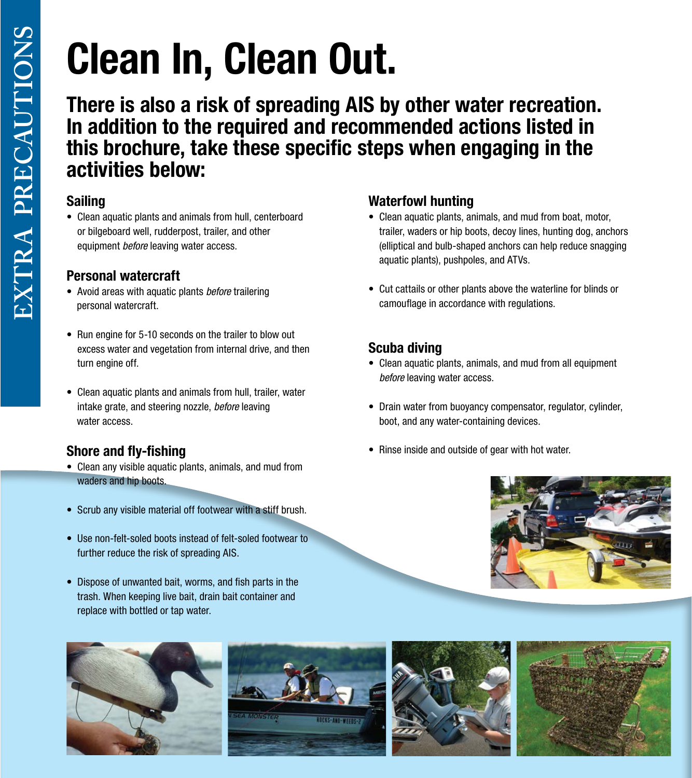# Clean In, Clean Out.

There is also a risk of spreading AIS by other water recreation. In addition to the required and recommended actions listed in this brochure, take these specific steps when engaging in the activities below:

#### Sailing

• Clean aquatic plants and animals from hull, centerboard or bilgeboard well, rudderpost, trailer, and other equipment *before* leaving water access.

#### Personal watercraft

- Avoid areas with aquatic plants *before* trailering personal watercraft.
- Run engine for 5-10 seconds on the trailer to blow out excess water and vegetation from internal drive, and then turn engine off.
- Clean aquatic plants and animals from hull, trailer, water intake grate, and steering nozzle, *before* leaving water access.

### Shore and fly-fishing

- Clean any visible aquatic plants, animals, and mud from waders and hip boots.
- Scrub any visible material off footwear with a stiff brush.
- Use non-felt-soled boots instead of felt-soled footwear to further reduce the risk of spreading AIS.
- Dispose of unwanted bait, worms, and fish parts in the trash. When keeping live bait, drain bait container and replace with bottled or tap water.









#### Waterfowl hunting

- Clean aquatic plants, animals, and mud from boat, motor, trailer, waders or hip boots, decoy lines, hunting dog, anchors (elliptical and bulb-shaped anchors can help reduce snagging aquatic plants), pushpoles, and ATVs.
- Cut cattails or other plants above the waterline for blinds or camouflage in accordance with regulations.

#### Scuba diving

- Clean aquatic plants, animals, and mud from all equipment *before* leaving water access.
- Drain water from buoyancy compensator, regulator, cylinder, boot, and any water-containing devices.
- Rinse inside and outside of gear with hot water.

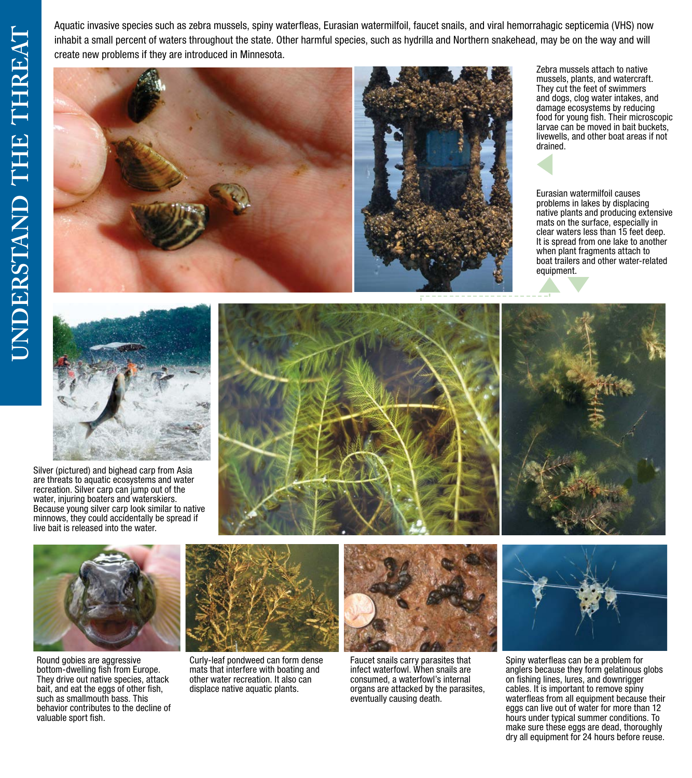Aquatic invasive species such as zebra mussels, spiny waterfleas, Eurasian watermilfoil, faucet snails, and viral hemorrahagic septicemia (VHS) now inhabit a small percent of waters throughout the state. Other harmful species, such as hydrilla and Northern snakehead, may be on the way and will create new problems if they are introduced in Minnesota.



Zebra mussels attach to native mussels, plants, and watercraft. They cut the feet of swimmers and dogs, clog water intakes, and damage ecosystems by reducing food for young fish. Their microscopic larvae can be moved in bait buckets, livewells, and other boat areas if not drained.

Eurasian watermilfoil causes problems in lakes by displacing native plants and producing extensive mats on the surface, especially in clear waters less than 15 feet deep. It is spread from one lake to another when plant fragments attach to boat trailers and other water-related equipment.



Silver (pictured) and bighead carp from Asia are threats to aquatic ecosystems and water recreation. Silver carp can jump out of the water, injuring boaters and waterskiers. Because young silver carp look similar to native minnows, they could accidentally be spread if live bait is released into the water.







Round gobies are aggressive bottom-dwelling fish from Europe. They drive out native species, attack bait, and eat the eggs of other fish, such as smallmouth bass. This behavior contributes to the decline of valuable sport fish.



Curly-leaf pondweed can form dense mats that interfere with boating and other water recreation. It also can displace native aquatic plants.



Faucet snails carry parasites that infect waterfowl. When snails are consumed, a waterfowl's internal organs are attacked by the parasites, eventually causing death.



Spiny waterfleas can be a problem for anglers because they form gelatinous globs on fishing lines, lures, and downrigger cables. It is important to remove spiny waterfleas from all equipment because their eggs can live out of water for more than 12 hours under typical summer conditions. To make sure these eggs are dead, thoroughly dry all equipment for 24 hours before reuse.